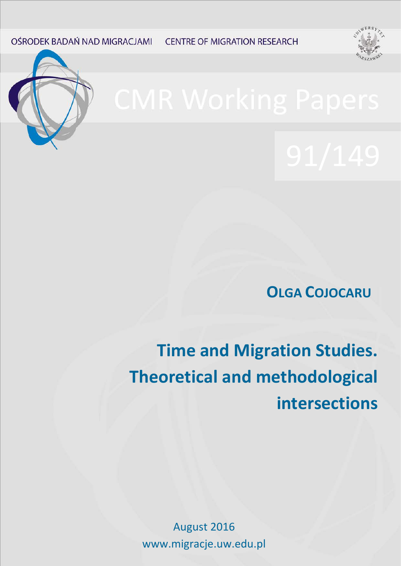OŚRODEK BADAŃ NAD MIGRACJAMI **CENTRE OF MIGRATION RESEARCH** 





**OLGA COJOCARU**

**Time and Migration Studies. Theoretical and methodological intersections**

August 2016 www.migracje.uw.edu.pl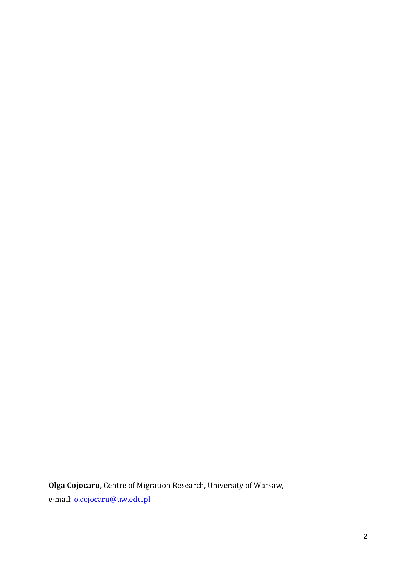**Olga Cojocaru,** Centre of Migration Research, University of Warsaw,

e-mail: **o.cojocaru@uw.edu.pl**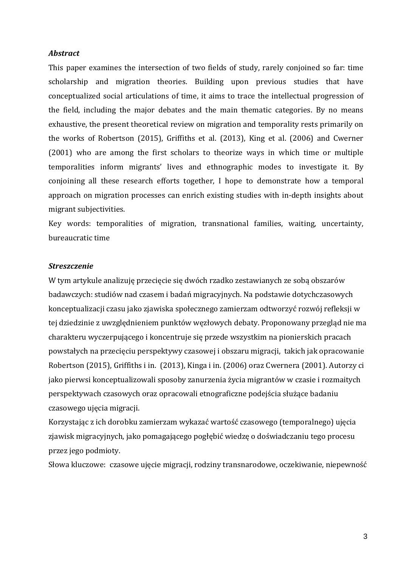#### *Abstract*

This paper examines the intersection of two fields of study, rarely conjoined so far: time scholarship and migration theories. Building upon previous studies that have conceptualized social articulations of time, it aims to trace the intellectual progression of the field, including the major debates and the main thematic categories. By no means exhaustive, the present theoretical review on migration and temporality rests primarily on the works of Robertson (2015), Griffiths et al. (2013), King et al. (2006) and Cwerner (2001) who are among the first scholars to theorize ways in which time or multiple temporalities inform migrants' lives and ethnographic modes to investigate it. By conjoining all these research efforts together, I hope to demonstrate how a temporal approach on migration processes can enrich existing studies with in-depth insights about migrant subjectivities.

Key words: temporalities of migration, transnational families, waiting, uncertainty, bureaucratic time

### *Streszczenie*

W tym artykule analizuję przecięcie się dwóch rzadko zestawianych ze sobą obszarów badawczych: studiów nad czasem i badań migracyjnych. Na podstawie dotychczasowych konceptualizacji czasu jako zjawiska społecznego zamierzam odtworzyć rozwój refleksji w tej dziedzinie z uwzględnieniem punktów węzłowych debaty. Proponowany przegląd nie ma charakteru wyczerpującego i koncentruje się przede wszystkim na pionierskich pracach powstałych na przecięciu perspektywy czasowej i obszaru migracji, takich jak opracowanie Robertson (2015), Griffiths i in. (2013), Kinga i in. (2006) oraz Cwernera (2001). Autorzy ci jako pierwsi konceptualizowali sposoby zanurzenia życia migrantów w czasie i rozmaitych perspektywach czasowych oraz opracowali etnograficzne podejścia służące badaniu czasowego ujęcia migracji.

Korzystając z ich dorobku zamierzam wykazać wartość czasowego (temporalnego) ujęcia zjawisk migracyjnych, jako pomagającego pogłębić wiedzę o doświadczaniu tego procesu przez jego podmioty.

Słowa kluczowe: czasowe ujęcie migracji, rodziny transnarodowe, oczekiwanie, niepewność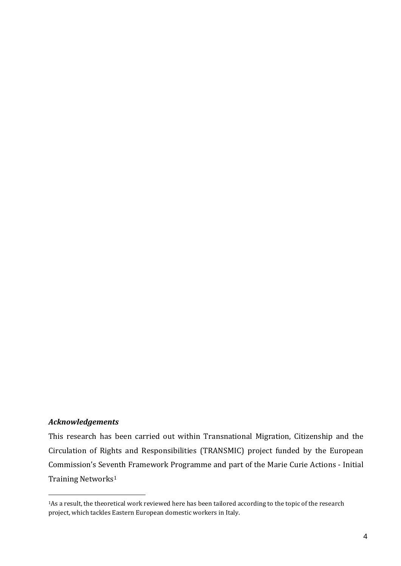# *Acknowledgements*

-

This research has been carried out within Transnational Migration, Citizenship and the Circulation of Rights and Responsibilities (TRANSMIC) project funded by the European Commission's Sev[en](#page-3-0)th Framework Programme and part of the Marie Curie Actions - Initial Training Networks<sup>1</sup>

<span id="page-3-0"></span><sup>1</sup>As a result, the theoretical work reviewed here has been tailored according to the topic of the research project, which tackles Eastern European domestic workers in Italy.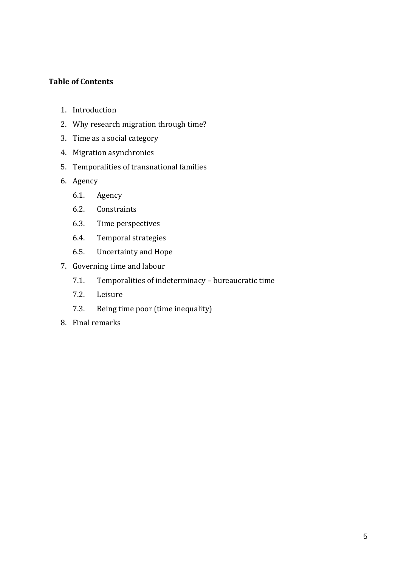# **Table of Contents**

- 1. Introduction
- 2. Why research migration through time?
- 3. Time as a social category
- 4. Migration asynchronies
- 5. Temporalities of transnational families
- 6. Agency
	- 6.1. Agency
	- 6.2. Constraints
	- 6.3. Time perspectives
	- 6.4. Temporal strategies
	- 6.5. Uncertainty and Hope
- 7. Governing time and labour
	- 7.1. Temporalities of indeterminacy bureaucratic time
	- 7.2. Leisure
	- 7.3. Being time poor (time inequality)
- 8. Final remarks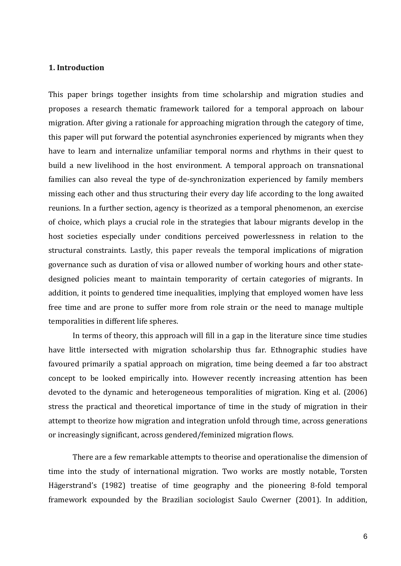# **1. Introduction**

This paper brings together insights from time scholarship and migration studies and proposes a research thematic framework tailored for a temporal approach on labour migration. After giving a rationale for approaching migration through the category of time, this paper will put forward the potential asynchronies experienced by migrants when they have to learn and internalize unfamiliar temporal norms and rhythms in their quest to build a new livelihood in the host environment. A temporal approach on transnational families can also reveal the type of de-synchronization experienced by family members missing each other and thus structuring their every day life according to the long awaited reunions. In a further section, agency is theorized as a temporal phenomenon, an exercise of choice, which plays a crucial role in the strategies that labour migrants develop in the host societies especially under conditions perceived powerlessness in relation to the structural constraints. Lastly, this paper reveals the temporal implications of migration governance such as duration of visa or allowed number of working hours and other statedesigned policies meant to maintain temporarity of certain categories of migrants. In addition, it points to gendered time inequalities, implying that employed women have less free time and are prone to suffer more from role strain or the need to manage multiple temporalities in different life spheres.

In terms of theory, this approach will fill in a gap in the literature since time studies have little intersected with migration scholarship thus far. Ethnographic studies have favoured primarily a spatial approach on migration, time being deemed a far too abstract concept to be looked empirically into. However recently increasing attention has been devoted to the dynamic and heterogeneous temporalities of migration. King et al. (2006) stress the practical and theoretical importance of time in the study of migration in their attempt to theorize how migration and integration unfold through time, across generations or increasingly significant, across gendered/feminized migration flows.

There are a few remarkable attempts to theorise and operationalise the dimension of time into the study of international migration. Two works are mostly notable, Torsten Hägerstrand's (1982) treatise of time geography and the pioneering 8-fold temporal framework expounded by the Brazilian sociologist Saulo Cwerner (2001). In addition,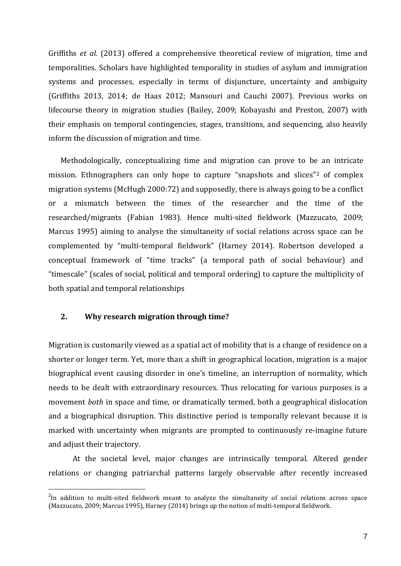Griffiths *et al.* (2013) offered a comprehensive theoretical review of migration, time and temporalities. Scholars have highlighted temporality in studies of asylum and immigration systems and processes, especially in terms of disjuncture, uncertainty and ambiguity (Griffiths 2013, 2014; de Haas 2012; Mansouri and Cauchi 2007). Previous works on lifecourse theory in migration studies (Bailey, 2009; Kobayashi and Preston, 2007) with their emphasis on temporal contingencies, stages, transitions, and sequencing, also heavily inform the discussion of migration and time.

Methodologically, conceptualizing time and migration can prove to be an intricate mission. Ethnographers can only hope to capture "snapshots and slices"[2](#page-6-0) of complex migration systems (McHugh 2000:72) and supposedly, there is always going to be a conflict or a mismatch between the times of the researcher and the time of the researched/migrants (Fabian 1983). Hence multi-sited fieldwork (Mazzucato, 2009; Marcus 1995) aiming to analyse the simultaneity of social relations across space can be complemented by "multi-temporal fieldwork" (Harney 2014). Robertson developed a conceptual framework of "time tracks" (a temporal path of social behaviour) and "timescale" (scales of social, political and temporal ordering) to capture the multiplicity of both spatial and temporal relationships

# **2. Why research migration through time?**

Migration is customarily viewed as a spatial act of mobility that is a change of residence on a shorter or longer term. Yet, more than a shift in geographical location, migration is a major biographical event causing disorder in one's timeline, an interruption of normality, which needs to be dealt with extraordinary resources. Thus relocating for various purposes is a movement *both* in space and time, or dramatically termed, both a geographical dislocation and a biographical disruption. This distinctive period is temporally relevant because it is marked with uncertainty when migrants are prompted to continuously re-imagine future and adjust their trajectory.

At the societal level, major changes are intrinsically temporal. Altered gender relations or changing patriarchal patterns largely observable after recently increased

<span id="page-6-0"></span> $\frac{1}{2}$ <sup>2</sup>In addition to multi-sited fieldwork meant to analyze the simultaneity of social relations across space (Mazzucato, 2009; Marcus 1995), Harney (2014) brings up the notion of multi-temporal fieldwork.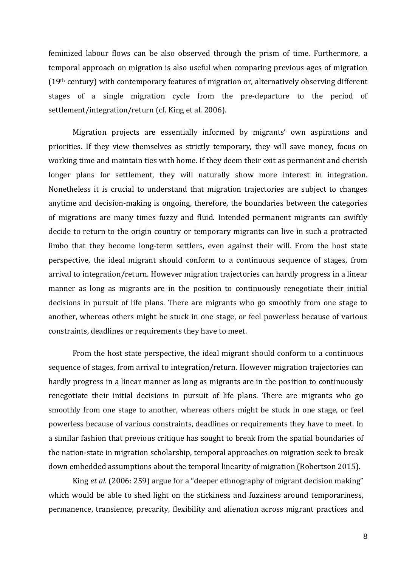feminized labour flows can be also observed through the prism of time. Furthermore, a temporal approach on migration is also useful when comparing previous ages of migration (19th century) with contemporary features of migration or, alternatively observing different stages of a single migration cycle from the pre-departure to the period of settlement/integration/return (cf. King et al. 2006).

Migration projects are essentially informed by migrants' own aspirations and priorities. If they view themselves as strictly temporary, they will save money, focus on working time and maintain ties with home. If they deem their exit as permanent and cherish longer plans for settlement, they will naturally show more interest in integration. Nonetheless it is crucial to understand that migration trajectories are subject to changes anytime and decision-making is ongoing, therefore, the boundaries between the categories of migrations are many times fuzzy and fluid. Intended permanent migrants can swiftly decide to return to the origin country or temporary migrants can live in such a protracted limbo that they become long-term settlers, even against their will. From the host state perspective, the ideal migrant should conform to a continuous sequence of stages, from arrival to integration/return. However migration trajectories can hardly progress in a linear manner as long as migrants are in the position to continuously renegotiate their initial decisions in pursuit of life plans. There are migrants who go smoothly from one stage to another, whereas others might be stuck in one stage, or feel powerless because of various constraints, deadlines or requirements they have to meet.

From the host state perspective, the ideal migrant should conform to a continuous sequence of stages, from arrival to integration/return. However migration trajectories can hardly progress in a linear manner as long as migrants are in the position to continuously renegotiate their initial decisions in pursuit of life plans. There are migrants who go smoothly from one stage to another, whereas others might be stuck in one stage, or feel powerless because of various constraints, deadlines or requirements they have to meet. In a similar fashion that previous critique has sought to break from the spatial boundaries of the nation-state in migration scholarship, temporal approaches on migration seek to break down embedded assumptions about the temporal linearity of migration (Robertson 2015).

King *et al.* (2006: 259) argue for a "deeper ethnography of migrant decision making" which would be able to shed light on the stickiness and fuzziness around temporariness, permanence, transience, precarity, flexibility and alienation across migrant practices and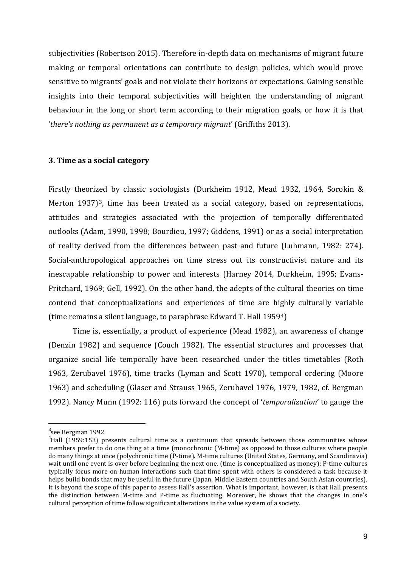subjectivities (Robertson 2015). Therefore in-depth data on mechanisms of migrant future making or temporal orientations can contribute to design policies, which would prove sensitive to migrants' goals and not violate their horizons or expectations. Gaining sensible insights into their temporal subjectivities will heighten the understanding of migrant behaviour in the long or short term according to their migration goals, or how it is that '*there's nothing as permanent as a temporary migrant*' (Griffiths 2013).

#### **3. Time as a social category**

Firstly theorized by classic sociologists (Durkheim 1912, Mead 1932, 1964, Sorokin & Merton 1937)<sup>3</sup>, time has been treated as a social category, based on representations, attitudes and strategies associated with the projection of temporally differentiated outlooks (Adam, 1990, 1998; Bourdieu, 1997; Giddens, 1991) or as a social interpretation of reality derived from the differences between past and future (Luhmann, 1982: 274). Social-anthropological approaches on time stress out its constructivist nature and its inescapable relationship to power and interests (Harney 2014, Durkheim, 1995; Evans-Pritchard, 1969; Gell, 1992). On the other hand, the adepts of the cultural theories on time contend that conceptualizations and experiences of time are highly culturally variable (time remains a silent language, to paraphrase Edward T. Hall 1959[4\)](#page-8-1)

Time is, essentially, a product of experience (Mead 1982), an awareness of change (Denzin 1982) and sequence (Couch 1982). The essential structures and processes that organize social life temporally have been researched under the titles timetables (Roth 1963, Zerubavel 1976), time tracks (Lyman and Scott 1970), temporal ordering (Moore 1963) and scheduling (Glaser and Strauss 1965, Zerubavel 1976, 1979, 1982, cf. Bergman 1992). Nancy Munn (1992: 116) puts forward the concept of '*temporalization*' to gauge the

 $\frac{1}{3}$ see Bergman 1992

<span id="page-8-1"></span><span id="page-8-0"></span> $^{4}$ Hall (1959:153) presents cultural time as a continuum that spreads between those communities whose members prefer to do one thing at a time (monochronic (M-time) as opposed to those cultures where people do many things at once (polychronic time (P-time). M-time cultures (United States, Germany, and Scandinavia) wait until one event is over before beginning the next one, (time is conceptualized as money); P-time cultures typically focus more on human interactions such that time spent with others is considered a task because it helps build bonds that may be useful in the future (Japan, Middle Eastern countries and South Asian countries). It is beyond the scope of this paper to assess Hall's assertion. What is important, however, is that Hall presents the distinction between M-time and P-time as fluctuating. Moreover, he shows that the changes in one's cultural perception of time follow significant alterations in the value system of a society.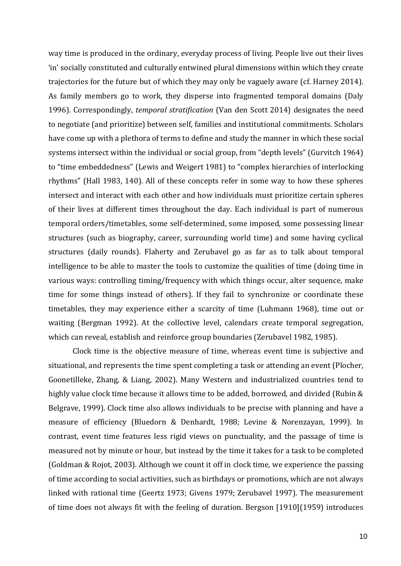way time is produced in the ordinary, everyday process of living. People live out their lives 'in' socially constituted and culturally entwined plural dimensions within which they create trajectories for the future but of which they may only be vaguely aware (cf. Harney 2014). As family members go to work, they disperse into fragmented temporal domains (Daly 1996). Correspondingly, *temporal stratification* (Van den Scott 2014) designates the need to negotiate (and prioritize) between self, families and institutional commitments. Scholars have come up with a plethora of terms to define and study the manner in which these social systems intersect within the individual or social group, from "depth levels" (Gurvitch 1964) to "time embeddedness" (Lewis and Weigert 1981) to "complex hierarchies of interlocking rhythms" (Hall 1983, 140). All of these concepts refer in some way to how these spheres intersect and interact with each other and how individuals must prioritize certain spheres of their lives at different times throughout the day. Each individual is part of numerous temporal orders/timetables, some self-determined, some imposed, some possessing linear structures (such as biography, career, surrounding world time) and some having cyclical structures (daily rounds). Flaherty and Zerubavel go as far as to talk about temporal intelligence to be able to master the tools to customize the qualities of time (doing time in various ways: controlling timing/frequency with which things occur, alter sequence, make time for some things instead of others). If they fail to synchronize or coordinate these timetables, they may experience either a scarcity of time (Luhmann 1968), time out or waiting (Bergman 1992). At the collective level, calendars create temporal segregation, which can reveal, establish and reinforce group boundaries (Zerubavel 1982, 1985).

Clock time is the objective measure of time, whereas event time is subjective and situational, and represents the time spent completing a task or attending an event (Plocher, Goonetilleke, Zhang, & Liang, 2002). Many Western and industrialized countries tend to highly value clock time because it allows time to be added, borrowed, and divided (Rubin & Belgrave, 1999). Clock time also allows individuals to be precise with planning and have a measure of efficiency (Bluedorn & Denhardt, 1988; Levine & Norenzayan, 1999). In contrast, event time features less rigid views on punctuality, and the passage of time is measured not by minute or hour, but instead by the time it takes for a task to be completed (Goldman & Rojot, 2003). Although we count it off in clock time, we experience the passing of time according to social activities, such as birthdays or promotions, which are not always linked with rational time (Geertz 1973; Givens 1979; Zerubavel 1997). The measurement of time does not always fit with the feeling of duration. Bergson [1910](1959) introduces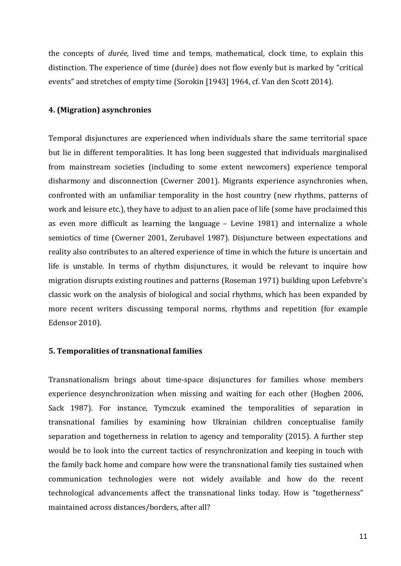the concepts of *durée*, lived time and temps, mathematical, clock time, to explain this distinction. The experience of time (durée) does not flow evenly but is marked by "critical events" and stretches of empty time (Sorokin [1943] 1964, cf. Van den Scott 2014).

# **4. (Migration) asynchronies**

Temporal disjunctures are experienced when individuals share the same territorial space but lie in different temporalities. It has long been suggested that individuals marginalised from mainstream societies (including to some extent newcomers) experience temporal disharmony and disconnection (Cwerner 2001). Migrants experience asynchronies when, confronted with an unfamiliar temporality in the host country (new rhythms, patterns of work and leisure etc.), they have to adjust to an alien pace of life (some have proclaimed this as even more difficult as learning the language – Levine 1981) and internalize a whole semiotics of time (Cwerner 2001, Zerubavel 1987). Disjuncture between expectations and reality also contributes to an altered experience of time in which the future is uncertain and life is unstable. In terms of rhythm disjunctures, it would be relevant to inquire how migration disrupts existing routines and patterns (Roseman 1971) building upon Lefebvre's classic work on the analysis of biological and social rhythms, which has been expanded by more recent writers discussing temporal norms, rhythms and repetition (for example Edensor 2010).

# **5. Temporalities of transnational families**

Transnationalism brings about time-space disjunctures for families whose members experience desynchronization when missing and waiting for each other (Hogben 2006, Sack 1987). For instance, Tymczuk examined the temporalities of separation in transnational families by examining how Ukrainian children conceptualise family separation and togetherness in relation to agency and temporality (2015). A further step would be to look into the current tactics of resynchronization and keeping in touch with the family back home and compare how were the transnational family ties sustained when communication technologies were not widely available and how do the recent technological advancements affect the transnational links today. How is "togetherness" maintained across distances/borders, after all?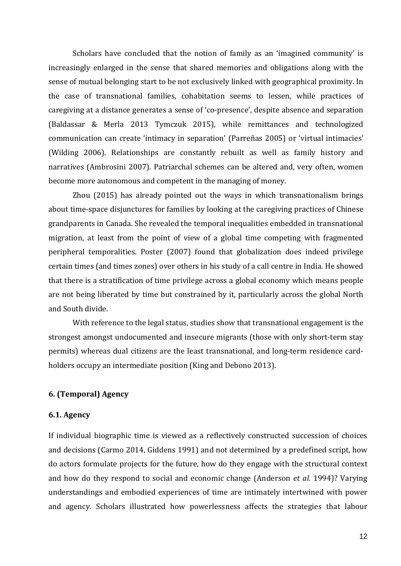Scholars have concluded that the notion of family as an 'imagined community' is increasingly enlarged in the sense that shared memories and obligations along with the sense of mutual belonging start to be not exclusively linked with geographical proximity. In the case of transnational families, cohabitation seems to lessen, while practices of caregiving at a distance generates a sense of 'co-presence', despite absence and separation (Baldassar & Merla 2013 Tymczuk 2015), while remittances and technologized communication can create 'intimacy in separation' (Parreñas 2005) or 'virtual intimacies' (Wilding 2006). Relationships are constantly rebuilt as well as family history and narratives (Ambrosini 2007). Patriarchal schemes can be altered and, very often, women become more autonomous and competent in the managing of money.

Zhou (2015) has already pointed out the ways in which transnationalism brings about time-space disjunctures for families by looking at the caregiving practices of Chinese grandparents in Canada. She revealed the temporal inequalities embedded in transnational migration, at least from the point of view of a global time competing with fragmented peripheral temporalities. Poster (2007) found that globalization does indeed privilege certain times (and times zones) over others in his study of a call centre in India. He showed that there is a stratification of time privilege across a global economy which means people are not being liberated by time but constrained by it, particularly across the global North and South divide.

With reference to the legal status, studies show that transnational engagement is the strongest amongst undocumented and insecure migrants (those with only short-term stay permits) whereas dual citizens are the least transnational, and long-term residence cardholders occupy an intermediate position (King and Debono 2013).

# **6. (Temporal) Agency**

### **6.1. Agency**

If individual biographic time is viewed as a reflectively constructed succession of choices and decisions (Carmo 2014, Giddens 1991) and not determined by a predefined script, how do actors formulate projects for the future, how do they engage with the structural context and how do they respond to social and economic change (Anderson *et al.* 1994)? Varying understandings and embodied experiences of time are intimately intertwined with power and agency. Scholars illustrated how powerlessness affects the strategies that labour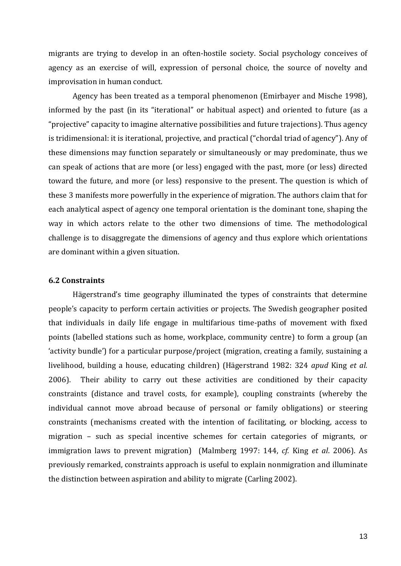migrants are trying to develop in an often-hostile society. Social psychology conceives of agency as an exercise of will, expression of personal choice, the source of novelty and improvisation in human conduct.

Agency has been treated as a temporal phenomenon (Emirbayer and Mische 1998), informed by the past (in its "iterational" or habitual aspect) and oriented to future (as a "projective" capacity to imagine alternative possibilities and future trajections). Thus agency is tridimensional: it is iterational, projective, and practical ("chordal triad of agency"). Any of these dimensions may function separately or simultaneously or may predominate, thus we can speak of actions that are more (or less) engaged with the past, more (or less) directed toward the future, and more (or less) responsive to the present. The question is which of these 3 manifests more powerfully in the experience of migration. The authors claim that for each analytical aspect of agency one temporal orientation is the dominant tone, shaping the way in which actors relate to the other two dimensions of time. The methodological challenge is to disaggregate the dimensions of agency and thus explore which orientations are dominant within a given situation.

# **6.2 Constraints**

Hägerstrand's time geography illuminated the types of constraints that determine people's capacity to perform certain activities or projects. The Swedish geographer posited that individuals in daily life engage in multifarious time-paths of movement with fixed points (labelled stations such as home, workplace, community centre) to form a group (an 'activity bundle') for a particular purpose/project (migration, creating a family, sustaining a livelihood, building a house, educating children) (Hägerstrand 1982: 324 *apud* King *et al.* 2006). Their ability to carry out these activities are conditioned by their capacity constraints (distance and travel costs, for example), coupling constraints (whereby the individual cannot move abroad because of personal or family obligations) or steering constraints (mechanisms created with the intention of facilitating, or blocking, access to migration – such as special incentive schemes for certain categories of migrants, or immigration laws to prevent migration) (Malmberg 1997: 144, *cf.* King *et al*. 2006). As previously remarked, constraints approach is useful to explain nonmigration and illuminate the distinction between aspiration and ability to migrate (Carling 2002).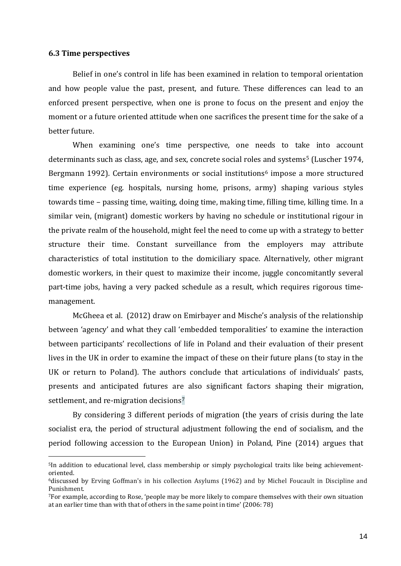#### **6.3 Time perspectives**

-

Belief in one's control in life has been examined in relation to temporal orientation and how people value the past, present, and future. These differences can lead to an enforced present perspective, when one is prone to focus on the present and enjoy the moment or a future oriented attitude when one sacrifices the present time for the sake of a better future.

When examining one's time perspective, one needs to take into account determinants such as class, age, and sex, concrete social roles and systems<sup>[5](#page-13-0)</sup> (Luscher 1974, Bergmann 1992). Certain environments or social institutions<sup>[6](#page-13-1)</sup> impose a more structured time experience (eg. hospitals, nursing home, prisons, army) shaping various styles towards time – passing time, waiting, doing time, making time, filling time, killing time. In a similar vein, (migrant) domestic workers by having no schedule or institutional rigour in the private realm of the household, might feel the need to come up with a strategy to better structure their time. Constant surveillance from the employers may attribute characteristics of total institution to the domiciliary space. Alternatively, other migrant domestic workers, in their quest to maximize their income, juggle concomitantly several part-time jobs, having a very packed schedule as a result, which requires rigorous timemanagement.

McGheea et al. (2012) draw on Emirbayer and Mische's analysis of the relationship between 'agency' and what they call 'embedded temporalities' to examine the interaction between participants' recollections of life in Poland and their evaluation of their present lives in the UK in order to examine the impact of these on their future plans (to stay in the UK or return to Poland). The authors conclude that articulations of individuals' pasts, presents and anticipated futures ar[e](#page-13-2) also significant factors shaping their migration, settlement, and re-migration decisions<sup>7</sup>

By considering 3 different periods of migration (the years of crisis during the late socialist era, the period of structural adjustment following the end of socialism, and the period following accession to the European Union) in Poland, Pine (2014) argues that

<span id="page-13-0"></span><sup>5</sup>In addition to educational level, class membership or simply psychological traits like being achievementoriented.

<span id="page-13-1"></span><sup>6</sup>discussed by Erving Goffman's in his collection Asylums (1962) and by Michel Foucault in Discipline and Punishment.

<span id="page-13-2"></span><sup>7</sup>For example, according to Rose, 'people may be more likely to compare themselves with their own situation at an earlier time than with that of others in the same point in time' (2006: 78)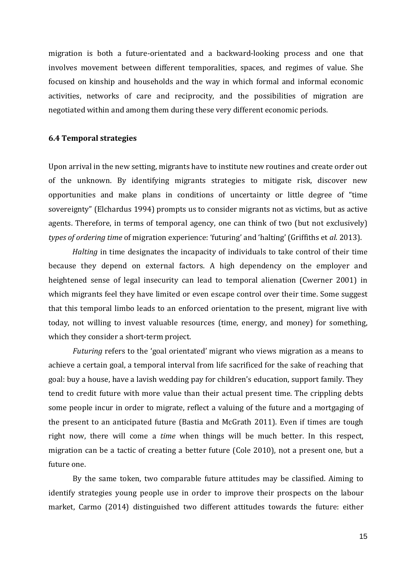migration is both a future-orientated and a backward-looking process and one that involves movement between different temporalities, spaces, and regimes of value. She focused on kinship and households and the way in which formal and informal economic activities, networks of care and reciprocity, and the possibilities of migration are negotiated within and among them during these very different economic periods.

#### **6.4 Temporal strategies**

Upon arrival in the new setting, migrants have to institute new routines and create order out of the unknown. By identifying migrants strategies to mitigate risk, discover new opportunities and make plans in conditions of uncertainty or little degree of "time sovereignty" (Elchardus 1994) prompts us to consider migrants not as victims, but as active agents. Therefore, in terms of temporal agency, one can think of two (but not exclusively) *types of ordering time* of migration experience: 'futuring' and 'halting' (Griffiths et *al*. 2013).

*Halting* in time designates the incapacity of individuals to take control of their time because they depend on external factors. A high dependency on the employer and heightened sense of legal insecurity can lead to temporal alienation (Cwerner 2001) in which migrants feel they have limited or even escape control over their time. Some suggest that this temporal limbo leads to an enforced orientation to the present, migrant live with today, not willing to invest valuable resources (time, energy, and money) for something, which they consider a short-term project.

*Futuring* refers to the 'goal orientated' migrant who views migration as a means to achieve a certain goal, a temporal interval from life sacrificed for the sake of reaching that goal: buy a house, have a lavish wedding pay for children's education, support family. They tend to credit future with more value than their actual present time. The crippling debts some people incur in order to migrate, reflect a valuing of the future and a mortgaging of the present to an anticipated future (Bastia and McGrath 2011). Even if times are tough right now, there will come a *time* when things will be much better. In this respect, migration can be a tactic of creating a better future (Cole 2010), not a present one, but a future one.

By the same token, two comparable future attitudes may be classified. Aiming to identify strategies young people use in order to improve their prospects on the labour market, Carmo (2014) distinguished two different attitudes towards the future: either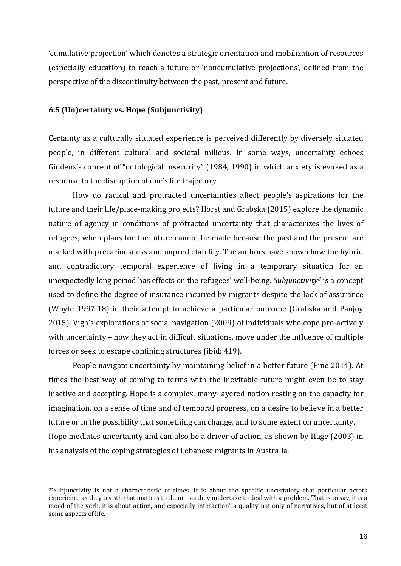'cumulative projection' which denotes a strategic orientation and mobilization of resources (especially education) to reach a future or 'noncumulative projections', defined from the perspective of the discontinuity between the past, present and future.

# **6.5 (Un)certainty vs. Hope (Subjunctivity)**

-

Certainty as a culturally situated experience is perceived differently by diversely situated people, in different cultural and societal milieus. In some ways, uncertainty echoes Giddens's concept of "ontological insecurity" (1984, 1990) in which anxiety is evoked as a response to the disruption of one's life trajectory.

How do radical and protracted uncertainties affect people's aspirations for the future and their life/place-making projects? Horst and Grabska (2015) explore the dynamic nature of agency in conditions of protracted uncertainty that characterizes the lives of refugees, when plans for the future cannot be made because the past and the present are marked with precariousness and unpredictability. The authors have shown how the hybrid and contradictory temporal experience of living in a temporary situation for an unexpectedly long period has effects on the refugees' well-being. *Subjunctivity[8](#page-15-0)* is a concept used to define the degree of insurance incurred by migrants despite the lack of assurance (Whyte 1997:18) in their attempt to achieve a particular outcome (Grabska and Panjoy 2015). Vigh's explorations of social navigation (2009) of individuals who cope pro-actively with uncertainty – how they act in difficult situations, move under the influence of multiple forces or seek to escape confining structures (ibid: 419).

People navigate uncertainty by maintaining belief in a better future (Pine 2014). At times the best way of coming to terms with the inevitable future might even be to stay inactive and accepting. Hope is a complex, many-layered notion resting on the capacity for imagination, on a sense of time and of temporal progress, on a desire to believe in a better future or in the possibility that something can change, and to some extent on uncertainty. Hope mediates uncertainty and can also be a driver of action, as shown by Hage (2003) in his analysis of the coping strategies of Lebanese migrants in Australia.

<span id="page-15-0"></span>*<sup>8</sup>*"Subjunctivity is not a characteristic of times. It is about the specific uncertainty that particular actors experience as they try sth that matters to them – as they undertake to deal with a problem. That is to say, it is a mood of the verb, it is about action, and especially interaction" a quality not only of narratives, but of at least some aspects of life.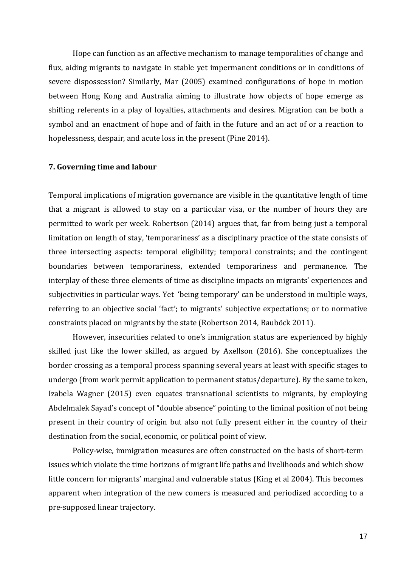Hope can function as an affective mechanism to manage temporalities of change and flux, aiding migrants to navigate in stable yet impermanent conditions or in conditions of severe dispossession? Similarly, Mar (2005) examined configurations of hope in motion between Hong Kong and Australia aiming to illustrate how objects of hope emerge as shifting referents in a play of loyalties, attachments and desires. Migration can be both a symbol and an enactment of hope and of faith in the future and an act of or a reaction to hopelessness, despair, and acute loss in the present (Pine 2014).

### **7. Governing time and labour**

Temporal implications of migration governance are visible in the quantitative length of time that a migrant is allowed to stay on a particular visa, or the number of hours they are permitted to work per week. Robertson (2014) argues that, far from being just a temporal limitation on length of stay, 'temporariness' as a disciplinary practice of the state consists of three intersecting aspects: temporal eligibility; temporal constraints; and the contingent boundaries between temporariness, extended temporariness and permanence. The interplay of these three elements of time as discipline impacts on migrants' experiences and subjectivities in particular ways. Yet 'being temporary' can be understood in multiple ways, referring to an objective social 'fact'; to migrants' subjective expectations; or to normative constraints placed on migrants by the state (Robertson 2014, Bauböck 2011).

However, insecurities related to one's immigration status are experienced by highly skilled just like the lower skilled, as argued by Axellson (2016). She conceptualizes the border crossing as a temporal process spanning several years at least with specific stages to undergo (from work permit application to permanent status/departure). By the same token, Izabela Wagner (2015) even equates transnational scientists to migrants, by employing Abdelmalek Sayad's concept of "double absence" pointing to the liminal position of not being present in their country of origin but also not fully present either in the country of their destination from the social, economic, or political point of view.

Policy-wise, immigration measures are often constructed on the basis of short-term issues which violate the time horizons of migrant life paths and livelihoods and which show little concern for migrants' marginal and vulnerable status (King et al 2004). This becomes apparent when integration of the new comers is measured and periodized according to a pre-supposed linear trajectory.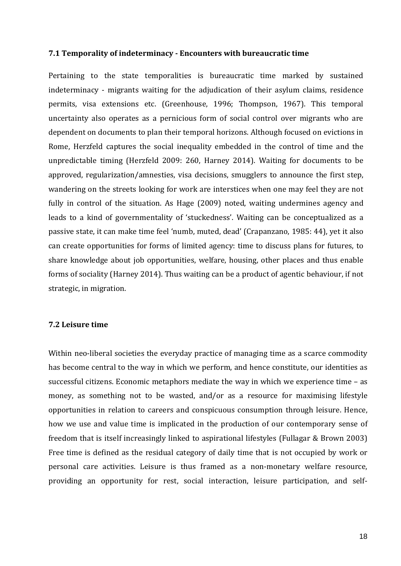#### **7.1 Temporality of indeterminacy - Encounters with bureaucratic time**

Pertaining to the state temporalities is bureaucratic time marked by sustained indeterminacy - migrants waiting for the adjudication of their asylum claims, residence permits, visa extensions etc. (Greenhouse, 1996; Thompson, 1967). This temporal uncertainty also operates as a pernicious form of social control over migrants who are dependent on documents to plan their temporal horizons. Although focused on evictions in Rome, Herzfeld captures the social inequality embedded in the control of time and the unpredictable timing (Herzfeld 2009: 260, Harney 2014). Waiting for documents to be approved, regularization/amnesties, visa decisions, smugglers to announce the first step, wandering on the streets looking for work are interstices when one may feel they are not fully in control of the situation. As Hage (2009) noted, waiting undermines agency and leads to a kind of governmentality of 'stuckedness'. Waiting can be conceptualized as a passive state, it can make time feel 'numb, muted, dead' (Crapanzano, 1985: 44), yet it also can create opportunities for forms of limited agency: time to discuss plans for futures, to share knowledge about job opportunities, welfare, housing, other places and thus enable forms of sociality (Harney 2014). Thus waiting can be a product of agentic behaviour, if not strategic, in migration.

#### **7.2 Leisure time**

Within neo-liberal societies the everyday practice of managing time as a scarce commodity has become central to the way in which we perform, and hence constitute, our identities as successful citizens. Economic metaphors mediate the way in which we experience time – as money, as something not to be wasted, and/or as a resource for maximising lifestyle opportunities in relation to careers and conspicuous consumption through leisure. Hence, how we use and value time is implicated in the production of our contemporary sense of freedom that is itself increasingly linked to aspirational lifestyles (Fullagar & Brown 2003) Free time is defined as the residual category of daily time that is not occupied by work or personal care activities. Leisure is thus framed as a non-monetary welfare resource, providing an opportunity for rest, social interaction, leisure participation, and self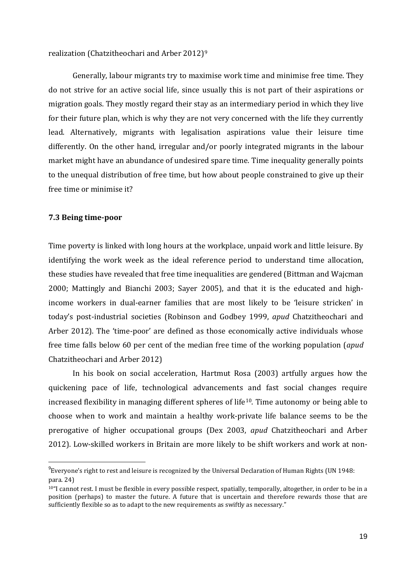realization (Chatzitheochari and Arber 2012)[9](#page-18-0)

Generally, labour migrants try to maximise work time and minimise free time. They do not strive for an active social life, since usually this is not part of their aspirations or migration goals. They mostly regard their stay as an intermediary period in which they live for their future plan, which is why they are not very concerned with the life they currently lead. Alternatively, migrants with legalisation aspirations value their leisure time differently. On the other hand, irregular and/or poorly integrated migrants in the labour market might have an abundance of undesired spare time. Time inequality generally points to the unequal distribution of free time, but how about people constrained to give up their free time or minimise it?

# **7.3 Being time-poor**

Time poverty is linked with long hours at the workplace, unpaid work and little leisure. By identifying the work week as the ideal reference period to understand time allocation, these studies have revealed that free time inequalities are gendered (Bittman and Wajcman 2000; Mattingly and Bianchi 2003; Sayer 2005), and that it is the educated and highincome workers in dual-earner families that are most likely to be 'leisure stricken' in today's post-industrial societies (Robinson and Godbey 1999, *apud* Chatzitheochari and Arber 2012). The 'time-poor' are defined as those economically active individuals whose free time falls below 60 per cent of the median free time of the working population (*apud*  Chatzitheochari and Arber 2012)

In his book on social acceleration, Hartmut Rosa (2003) artfully argues how the quickening pace of life, technological advancements and fast social changes require increased flexibility in managing different spheres of life<sup>10</sup>. Time autonomy or being able to choose when to work and maintain a healthy work-private life balance seems to be the prerogative of higher occupational groups (Dex 2003, *apud* Chatzitheochari and Arber 2012). Low-skilled workers in Britain are more likely to be shift workers and work at non-

<span id="page-18-0"></span><sup>–&</sup>lt;br>9  $^{9}$ Everyone's right to rest and leisure is recognized by the Universal Declaration of Human Rights (UN 1948: para. 24)

<span id="page-18-1"></span> $10<sup>4</sup>$  cannot rest. I must be flexible in every possible respect, spatially, temporally, altogether, in order to be in a position (perhaps) to master the future. A future that is uncertain and therefore rewards those that are sufficiently flexible so as to adapt to the new requirements as swiftly as necessary."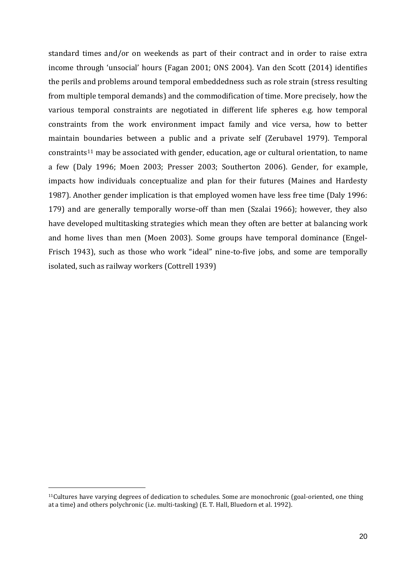standard times and/or on weekends as part of their contract and in order to raise extra income through 'unsocial' hours (Fagan 2001; ONS 2004). Van den Scott (2014) identifies the perils and problems around temporal embeddedness such as role strain (stress resulting from multiple temporal demands) and the commodification of time. More precisely, how the various temporal constraints are negotiated in different life spheres e.g. how temporal constraints from the work environment impact family and vice versa, how to better maintain boundaries between a public and a private self (Zerubavel 1979). Temporal constraints[11](#page-19-0) may be associated with gender, education, age or cultural orientation, to name a few (Daly 1996; Moen 2003; Presser 2003; Southerton 2006). Gender, for example, impacts how individuals conceptualize and plan for their futures (Maines and Hardesty 1987). Another gender implication is that employed women have less free time (Daly 1996: 179) and are generally temporally worse-off than men (Szalai 1966); however, they also have developed multitasking strategies which mean they often are better at balancing work and home lives than men (Moen 2003). Some groups have temporal dominance (Engel-Frisch 1943), such as those who work "ideal" nine-to-five jobs, and some are temporally isolated, such as railway workers (Cottrell 1939)

-

<span id="page-19-0"></span><sup>&</sup>lt;sup>11</sup>Cultures have varying degrees of dedication to schedules. Some are monochronic (goal-oriented, one thing at a time) and others polychronic (i.e. multi-tasking) (E. T. Hall, Bluedorn et al. 1992).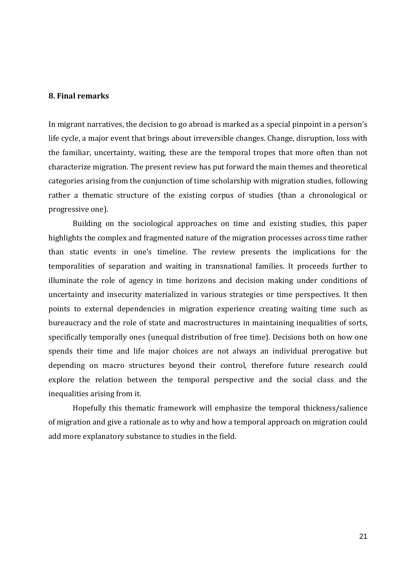# **8. Final remarks**

In migrant narratives, the decision to go abroad is marked as a special pinpoint in a person's life cycle, a major event that brings about irreversible changes. Change, disruption, loss with the familiar, uncertainty, waiting, these are the temporal tropes that more often than not characterize migration. The present review has put forward the main themes and theoretical categories arising from the conjunction of time scholarship with migration studies, following rather a thematic structure of the existing corpus of studies (than a chronological or progressive one).

Building on the sociological approaches on time and existing studies, this paper highlights the complex and fragmented nature of the migration processes across time rather than static events in one's timeline. The review presents the implications for the temporalities of separation and waiting in transnational families. It proceeds further to illuminate the role of agency in time horizons and decision making under conditions of uncertainty and insecurity materialized in various strategies or time perspectives. It then points to external dependencies in migration experience creating waiting time such as bureaucracy and the role of state and macrostructures in maintaining inequalities of sorts, specifically temporally ones (unequal distribution of free time). Decisions both on how one spends their time and life major choices are not always an individual prerogative but depending on macro structures beyond their control, therefore future research could explore the relation between the temporal perspective and the social class and the inequalities arising from it.

Hopefully this thematic framework will emphasize the temporal thickness/salience of migration and give a rationale as to why and how a temporal approach on migration could add more explanatory substance to studies in the field.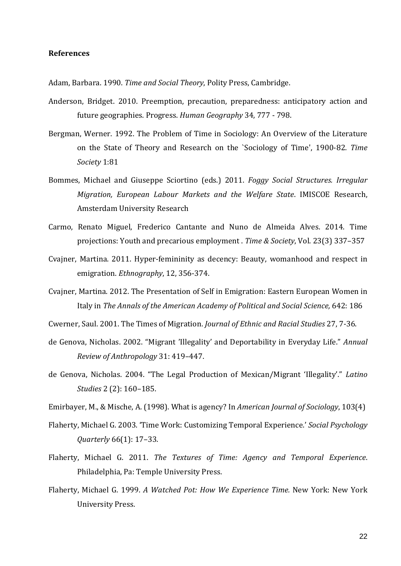#### **References**

Adam, Barbara. 1990. *Time and Social Theory*, Polity Press, Cambridge.

- Anderson, Bridget. 2010. Preemption, precaution, preparedness: anticipatory action and future geographies. Progress. *Human Geography* 34, 777 - 798.
- Bergman, Werner. 1992. The Problem of Time in Sociology: An Overview of the Literature on the State of Theory and Research on the `Sociology of Time', 1900-82. *Time Society* 1:81
- Bommes, Michael and Giuseppe Sciortino (eds.) 2011. *Foggy Social Structures. Irregular Migration, European Labour Markets and the Welfare State*. IMISCOE Research, Amsterdam University Research
- Carmo, Renato Miguel, Frederico Cantante and Nuno de Almeida Alves. 2014. Time projections: Youth and precarious employment . *Time & Society*, Vol. 23(3) 337–357
- Cvajner, Martina. 2011. Hyper-femininity as decency: Beauty, womanhood and respect in emigration. *Ethnography*, 12, 356-374.
- Cvajner, Martina. 2012. The Presentation of Self in Emigration: Eastern European Women in Italy in *The Annals of the American Academy of Political and Social Science,* 642: 186

Cwerner, Saul. 2001. The Times of Migration. *Journal of Ethnic and Racial Studies* 27, 7-36.

- de Genova, Nicholas. 2002. "Migrant 'Illegality' and Deportability in Everyday Life." *Annual Review of Anthropology* 31: 419–447.
- de Genova, Nicholas. 2004. "The Legal Production of Mexican/Migrant 'Illegality'." *Latino Studies* 2 (2): 160–185.

Emirbayer, M., & Mische, A. (1998). What is agency? In *American Journal of Sociology*, 103(4)

- Flaherty, Michael G. 2003. 'Time Work: Customizing Temporal Experience.' *Social Psychology Quarterly* 66(1): 17–33.
- Flaherty, Michael G. 2011. *The Textures of Time: Agency and Temporal Experience*. Philadelphia, Pa: Temple University Press.
- Flaherty, Michael G. 1999. *A Watched Pot: How We Experience Time.* New York: New York University Press.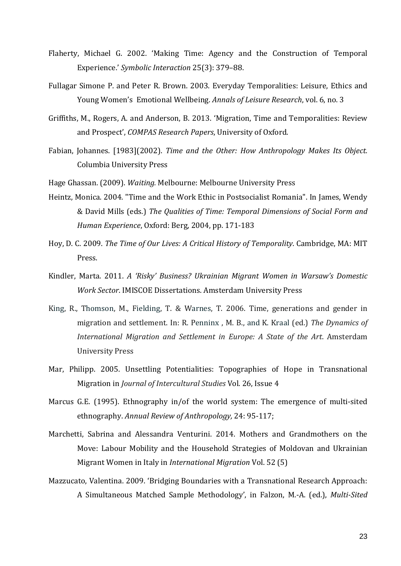- Flaherty, Michael G. 2002. 'Making Time: Agency and the Construction of Temporal Experience.' *Symbolic Interaction* 25(3): 379–88.
- Fullagar Simone P. and Peter R. Brown. 2003. Everyday Temporalities: Leisure, Ethics and Young Women's Emotional Wellbeing. *Annals of Leisure Research*, vol. 6, no. 3
- Griffiths, M., Rogers, A. and Anderson, B. 2013. 'Migration, Time and Temporalities: Review and Prospect', *COMPAS Research Papers*, University of Oxford.
- Fabian, Johannes. [1983](2002). *Time and the Other: How Anthropology Makes Its Object.* Columbia University Press
- Hage Ghassan. (2009). *Waiting.* Melbourne: Melbourne University Press
- Heintz, Monica. 2004. "[Time and the Work Ethic in Postsocialist Romania](http://monica.heintz.free.fr/Qualities%20of%20time%20chap%209.pdf)". In James, Wendy & David Mills (eds.) *The Qualities of Time: Temporal Dimensions of Social Form and Human Experience*, Oxford: Berg, 2004, pp. 171-183
- Hoy, D. C. 2009. *The Time of Our Lives: A Critical History of Temporality*. Cambridge, MA: MIT Press.
- Kindler, Marta. 2011. *A 'Risky' Business? Ukrainian Migrant Women in Warsaw's Domestic Work Sector*. IMISCOE Dissertations. Amsterdam University Press
- King, R., Thomson, M., Fielding, T. & Warnes, T. 2006. Time, generations and gender in migration and settlement. In: R. Penninx , M. B., and K. Kraal (ed.) *The Dynamics of International Migration and Settlement in Europe: A State of the Art*. Amsterdam University Press
- Mar, Philipp. 2005. Unsettling Potentialities: Topographies of Hope in Transnational Migration in *Journal of Intercultural Studies* Vol. 26, Issue 4
- Marcus G.E. (1995). Ethnography in/of the world system: The emergence of multi-sited ethnography. *Annual Review of Anthropology,* 24: 95-117;
- Marchetti, Sabrina and Alessandra Venturini. 2014. Mothers and Grandmothers on the Move: Labour Mobility and the Household Strategies of Moldovan and Ukrainian Migrant Women in Italy in *International Migration* Vol. 52 (5)
- Mazzucato, Valentina. 2009. 'Bridging Boundaries with a Transnational Research Approach: A Simultaneous Matched Sample Methodology', in Falzon, M.-A. (ed.), *Multi-Sited*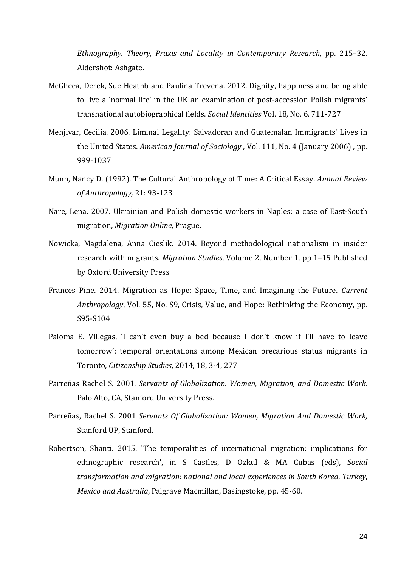*Ethnography. Theory, Praxis and Locality in Contemporary Research*, pp. 215–32. Aldershot: Ashgate.

- McGheea, Derek, Sue Heathb and Paulina Trevena. 2012. Dignity, happiness and being able to live a 'normal life' in the UK an examination of post-accession Polish migrants' transnational autobiographical fields. *Social Identities* Vol. 18, No. 6, 711-727
- Menjivar, Cecilia. 2006. Liminal Legality: Salvadoran and Guatemalan Immigrants' Lives in the United States. *American Journal of Sociology* , Vol. 111, No. 4 (January 2006) , pp. 999-1037
- Munn, Nancy D. (1992). The Cultural Anthropology of Time: A Critical Essay. *Annual Review of Anthropology,* 21: 93-123
- Näre, Lena. 2007. Ukrainian and Polish domestic workers in Naples: a case of East-South migration, *Migration Online*, Prague.
- Nowicka, Magdalena, Anna Cieslik. 2014. Beyond methodological nationalism in insider research with migrants. *Migration Studies*, Volume 2, Number 1, pp 1–15 Published by Oxford University Press
- Frances Pine. 2014. Migration as Hope: Space, Time, and Imagining the Future. *Current Anthropology*, Vol. 55, No. S9, Crisis, Value, and Hope: Rethinking the Economy, pp. S95-S104
- Paloma E. Villegas, 'I can't even buy a bed because I don't know if I'll have to leave tomorrow': temporal orientations among Mexican precarious status migrants in Toronto, *Citizenship Studies*, 2014, 18, 3-4, 277
- Parreñas Rachel S. 2001. *Servants of Globalization. Women, Migration, and Domestic Work*. Palo Alto, CA, Stanford University Press.
- Parreñas, Rachel S. 2001 *Servants Of Globalization: Women, Migration And Domestic Work,*  Stanford UP, Stanford.
- Robertson, Shanti. 2015. 'The temporalities of international migration: implications for ethnographic research', in S Castles, D Ozkul & MA Cubas (eds), *Social transformation and migration: national and local experiences in South Korea, Turkey, Mexico and Australia*, Palgrave Macmillan, Basingstoke, pp. 45-60.